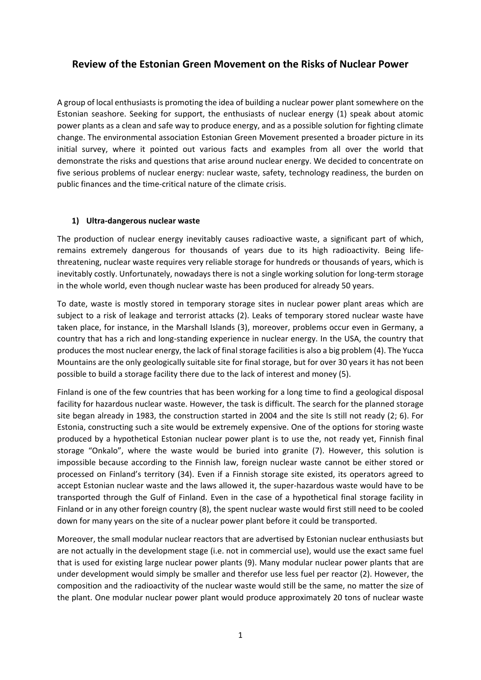# **Review of the Estonian Green Movement on the Risks of Nuclear Power**

A group of local enthusiasts is promoting the idea of building a nuclear power plant somewhere on the Estonian seashore. Seeking for support, the enthusiasts of nuclear energy (1) speak about atomic power plants as a clean and safe way to produce energy, and as a possible solution for fighting climate change. The environmental association Estonian Green Movement presented a broader picture in its initial survey, where it pointed out various facts and examples from all over the world that demonstrate the risks and questions that arise around nuclear energy. We decided to concentrate on five serious problems of nuclear energy: nuclear waste, safety, technology readiness, the burden on public finances and the time-critical nature of the climate crisis.

## **1) Ultra-dangerous nuclear waste**

The production of nuclear energy inevitably causes radioactive waste, a significant part of which, remains extremely dangerous for thousands of years due to its high radioactivity. Being lifethreatening, nuclear waste requires very reliable storage for hundreds or thousands of years, which is inevitably costly. Unfortunately, nowadays there is not a single working solution for long-term storage in the whole world, even though nuclear waste has been produced for already 50 years.

To date, waste is mostly stored in temporary storage sites in nuclear power plant areas which are subject to a risk of leakage and terrorist attacks (2). Leaks of temporary stored nuclear waste have taken place, for instance, in the Marshall Islands (3), moreover, problems occur even in Germany, a country that has a rich and long-standing experience in nuclear energy. In the USA, the country that produces the most nuclear energy, the lack of final storage facilities is also a big problem (4). The Yucca Mountains are the only geologically suitable site for final storage, but for over 30 years it has not been possible to build a storage facility there due to the lack of interest and money (5).

Finland is one of the few countries that has been working for a long time to find a geological disposal facility for hazardous nuclear waste. However, the task is difficult. The search for the planned storage site began already in 1983, the construction started in 2004 and the site Is still not ready (2; 6). For Estonia, constructing such a site would be extremely expensive. One of the options for storing waste produced by a hypothetical Estonian nuclear power plant is to use the, not ready yet, Finnish final storage "Onkalo", where the waste would be buried into granite (7). However, this solution is impossible because according to the Finnish law, foreign nuclear waste cannot be either stored or processed on Finland's territory (34). Even if a Finnish storage site existed, its operators agreed to accept Estonian nuclear waste and the laws allowed it, the super-hazardous waste would have to be transported through the Gulf of Finland. Even in the case of a hypothetical final storage facility in Finland or in any other foreign country (8), the spent nuclear waste would first still need to be cooled down for many years on the site of a nuclear power plant before it could be transported.

Moreover, the small modular nuclear reactors that are advertised by Estonian nuclear enthusiasts but are not actually in the development stage (i.e. not in commercial use), would use the exact same fuel that is used for existing large nuclear power plants (9). Many modular nuclear power plants that are under development would simply be smaller and therefor use less fuel per reactor (2). However, the composition and the radioactivity of the nuclear waste would still be the same, no matter the size of the plant. One modular nuclear power plant would produce approximately 20 tons of nuclear waste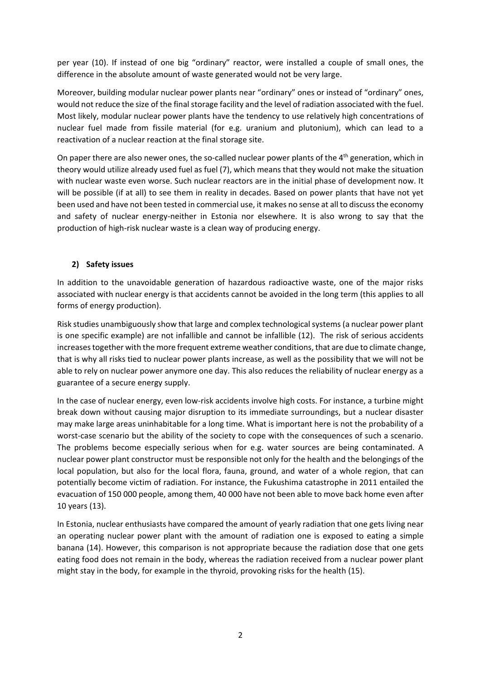per year (10). If instead of one big "ordinary" reactor, were installed a couple of small ones, the difference in the absolute amount of waste generated would not be very large.

Moreover, building modular nuclear power plants near "ordinary" ones or instead of "ordinary" ones, would not reduce the size of the final storage facility and the level of radiation associated with the fuel. Most likely, modular nuclear power plants have the tendency to use relatively high concentrations of nuclear fuel made from fissile material (for e.g. uranium and plutonium), which can lead to a reactivation of a nuclear reaction at the final storage site.

On paper there are also newer ones, the so-called nuclear power plants of the 4<sup>th</sup> generation, which in theory would utilize already used fuel as fuel (7), which means that they would not make the situation with nuclear waste even worse. Such nuclear reactors are in the initial phase of development now. It will be possible (if at all) to see them in reality in decades. Based on power plants that have not yet been used and have not been tested in commercial use, it makes no sense at all to discuss the economy and safety of nuclear energy-neither in Estonia nor elsewhere. It is also wrong to say that the production of high-risk nuclear waste is a clean way of producing energy.

## **2) Safety issues**

In addition to the unavoidable generation of hazardous radioactive waste, one of the major risks associated with nuclear energy is that accidents cannot be avoided in the long term (this applies to all forms of energy production).

Risk studies unambiguously show that large and complex technological systems (a nuclear power plant is one specific example) are not infallible and cannot be infallible (12). The risk of serious accidents increases together with the more frequent extreme weather conditions, that are due to climate change, that is why all risks tied to nuclear power plants increase, as well as the possibility that we will not be able to rely on nuclear power anymore one day. This also reduces the reliability of nuclear energy as a guarantee of a secure energy supply.

In the case of nuclear energy, even low-risk accidents involve high costs. For instance, a turbine might break down without causing major disruption to its immediate surroundings, but a nuclear disaster may make large areas uninhabitable for a long time. What is important here is not the probability of a worst-case scenario but the ability of the society to cope with the consequences of such a scenario. The problems become especially serious when for e.g. water sources are being contaminated. A nuclear power plant constructor must be responsible not only for the health and the belongings of the local population, but also for the local flora, fauna, ground, and water of a whole region, that can potentially become victim of radiation. For instance, the Fukushima catastrophe in 2011 entailed the evacuation of 150 000 people, among them, 40 000 have not been able to move back home even after 10 years (13).

In Estonia, nuclear enthusiasts have compared the amount of yearly radiation that one gets living near an operating nuclear power plant with the amount of radiation one is exposed to eating a simple banana (14). However, this comparison is not appropriate because the radiation dose that one gets eating food does not remain in the body, whereas the radiation received from a nuclear power plant might stay in the body, for example in the thyroid, provoking risks for the health (15).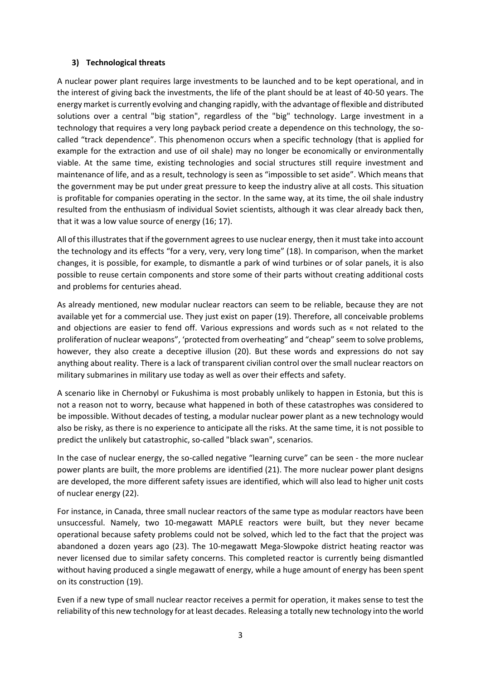## **3) Technological threats**

A nuclear power plant requires large investments to be launched and to be kept operational, and in the interest of giving back the investments, the life of the plant should be at least of 40-50 years. The energy market is currently evolving and changing rapidly, with the advantage of flexible and distributed solutions over a central "big station", regardless of the "big" technology. Large investment in a technology that requires a very long payback period create a dependence on this technology, the socalled "track dependence". This phenomenon occurs when a specific technology (that is applied for example for the extraction and use of oil shale) may no longer be economically or environmentally viable. At the same time, existing technologies and social structures still require investment and maintenance of life, and as a result, technology is seen as "impossible to set aside". Which means that the government may be put under great pressure to keep the industry alive at all costs. This situation is profitable for companies operating in the sector. In the same way, at its time, the oil shale industry resulted from the enthusiasm of individual Soviet scientists, although it was clear already back then, that it was a low value source of energy (16; 17).

All of this illustrates that if the government agrees to use nuclear energy, then it must take into account the technology and its effects "for a very, very, very long time" (18). In comparison, when the market changes, it is possible, for example, to dismantle a park of wind turbines or of solar panels, it is also possible to reuse certain components and store some of their parts without creating additional costs and problems for centuries ahead.

As already mentioned, new modular nuclear reactors can seem to be reliable, because they are not available yet for a commercial use. They just exist on paper (19). Therefore, all conceivable problems and objections are easier to fend off. Various expressions and words such as « not related to the proliferation of nuclear weapons", 'protected from overheating" and "cheap" seem to solve problems, however, they also create a deceptive illusion (20). But these words and expressions do not say anything about reality. There is a lack of transparent civilian control over the small nuclear reactors on military submarines in military use today as well as over their effects and safety.

A scenario like in Chernobyl or Fukushima is most probably unlikely to happen in Estonia, but this is not a reason not to worry, because what happened in both of these catastrophes was considered to be impossible. Without decades of testing, a modular nuclear power plant as a new technology would also be risky, as there is no experience to anticipate all the risks. At the same time, it is not possible to predict the unlikely but catastrophic, so-called "black swan", scenarios.

In the case of nuclear energy, the so-called negative "learning curve" can be seen - the more nuclear power plants are built, the more problems are identified (21). The more nuclear power plant designs are developed, the more different safety issues are identified, which will also lead to higher unit costs of nuclear energy (22).

For instance, in Canada, three small nuclear reactors of the same type as modular reactors have been unsuccessful. Namely, two 10-megawatt MAPLE reactors were built, but they never became operational because safety problems could not be solved, which led to the fact that the project was abandoned a dozen years ago (23). The 10-megawatt Mega-Slowpoke district heating reactor was never licensed due to similar safety concerns. This completed reactor is currently being dismantled without having produced a single megawatt of energy, while a huge amount of energy has been spent on its construction (19).

Even if a new type of small nuclear reactor receives a permit for operation, it makes sense to test the reliability of this new technology for at least decades. Releasing a totally new technology into the world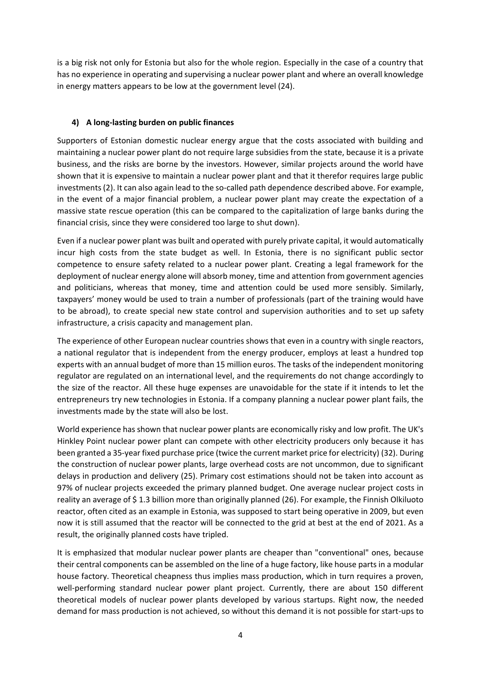is a big risk not only for Estonia but also for the whole region. Especially in the case of a country that has no experience in operating and supervising a nuclear power plant and where an overall knowledge in energy matters appears to be low at the government level (24).

# **4) A long-lasting burden on public finances**

Supporters of Estonian domestic nuclear energy argue that the costs associated with building and maintaining a nuclear power plant do not require large subsidies from the state, because it is a private business, and the risks are borne by the investors. However, similar projects around the world have shown that it is expensive to maintain a nuclear power plant and that it therefor requires large public investments (2). It can also again lead to the so-called path dependence described above. For example, in the event of a major financial problem, a nuclear power plant may create the expectation of a massive state rescue operation (this can be compared to the capitalization of large banks during the financial crisis, since they were considered too large to shut down).

Even if a nuclear power plant was built and operated with purely private capital, it would automatically incur high costs from the state budget as well. In Estonia, there is no significant public sector competence to ensure safety related to a nuclear power plant. Creating a legal framework for the deployment of nuclear energy alone will absorb money, time and attention from government agencies and politicians, whereas that money, time and attention could be used more sensibly. Similarly, taxpayers' money would be used to train a number of professionals (part of the training would have to be abroad), to create special new state control and supervision authorities and to set up safety infrastructure, a crisis capacity and management plan.

The experience of other European nuclear countries shows that even in a country with single reactors, a national regulator that is independent from the energy producer, employs at least a hundred top experts with an annual budget of more than 15 million euros. The tasks of the independent monitoring regulator are regulated on an international level, and the requirements do not change accordingly to the size of the reactor. All these huge expenses are unavoidable for the state if it intends to let the entrepreneurs try new technologies in Estonia. If a company planning a nuclear power plant fails, the investments made by the state will also be lost.

World experience has shown that nuclear power plants are economically risky and low profit. The UK's Hinkley Point nuclear power plant can compete with other electricity producers only because it has been granted a 35-year fixed purchase price (twice the current market price for electricity) (32). During the construction of nuclear power plants, large overhead costs are not uncommon, due to significant delays in production and delivery (25). Primary cost estimations should not be taken into account as 97% of nuclear projects exceeded the primary planned budget. One average nuclear project costs in reality an average of \$ 1.3 billion more than originally planned (26). For example, the Finnish Olkiluoto reactor, often cited as an example in Estonia, was supposed to start being operative in 2009, but even now it is still assumed that the reactor will be connected to the grid at best at the end of 2021. As a result, the originally planned costs have tripled.

It is emphasized that modular nuclear power plants are cheaper than "conventional" ones, because their central components can be assembled on the line of a huge factory, like house parts in a modular house factory. Theoretical cheapness thus implies mass production, which in turn requires a proven, well-performing standard nuclear power plant project. Currently, there are about 150 different theoretical models of nuclear power plants developed by various startups. Right now, the needed demand for mass production is not achieved, so without this demand it is not possible for start-ups to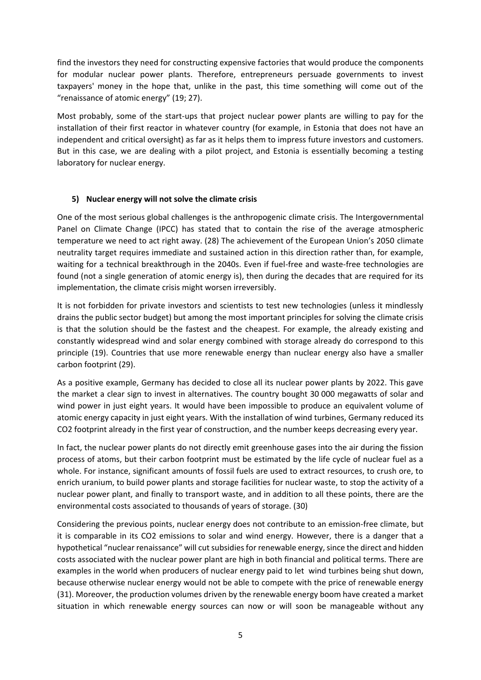find the investors they need for constructing expensive factories that would produce the components for modular nuclear power plants. Therefore, entrepreneurs persuade governments to invest taxpayers' money in the hope that, unlike in the past, this time something will come out of the "renaissance of atomic energy" (19; 27).

Most probably, some of the start-ups that project nuclear power plants are willing to pay for the installation of their first reactor in whatever country (for example, in Estonia that does not have an independent and critical oversight) as far as it helps them to impress future investors and customers. But in this case, we are dealing with a pilot project, and Estonia is essentially becoming a testing laboratory for nuclear energy.

## **5) Nuclear energy will not solve the climate crisis**

One of the most serious global challenges is the anthropogenic climate crisis. The Intergovernmental Panel on Climate Change (IPCC) has stated that to contain the rise of the average atmospheric temperature we need to act right away. (28) The achievement of the European Union's 2050 climate neutrality target requires immediate and sustained action in this direction rather than, for example, waiting for a technical breakthrough in the 2040s. Even if fuel-free and waste-free technologies are found (not a single generation of atomic energy is), then during the decades that are required for its implementation, the climate crisis might worsen irreversibly.

It is not forbidden for private investors and scientists to test new technologies (unless it mindlessly drains the public sector budget) but among the most important principles for solving the climate crisis is that the solution should be the fastest and the cheapest. For example, the already existing and constantly widespread wind and solar energy combined with storage already do correspond to this principle (19). Countries that use more renewable energy than nuclear energy also have a smaller carbon footprint (29).

As a positive example, Germany has decided to close all its nuclear power plants by 2022. This gave the market a clear sign to invest in alternatives. The country bought 30 000 megawatts of solar and wind power in just eight years. It would have been impossible to produce an equivalent volume of atomic energy capacity in just eight years. With the installation of wind turbines, Germany reduced its CO2 footprint already in the first year of construction, and the number keeps decreasing every year.

In fact, the nuclear power plants do not directly emit greenhouse gases into the air during the fission process of atoms, but their carbon footprint must be estimated by the life cycle of nuclear fuel as a whole. For instance, significant amounts of fossil fuels are used to extract resources, to crush ore, to enrich uranium, to build power plants and storage facilities for nuclear waste, to stop the activity of a nuclear power plant, and finally to transport waste, and in addition to all these points, there are the environmental costs associated to thousands of years of storage. (30)

Considering the previous points, nuclear energy does not contribute to an emission-free climate, but it is comparable in its CO2 emissions to solar and wind energy. However, there is a danger that a hypothetical "nuclear renaissance" will cut subsidies for renewable energy, since the direct and hidden costs associated with the nuclear power plant are high in both financial and political terms. There are examples in the world when producers of nuclear energy paid to let wind turbines being shut down, because otherwise nuclear energy would not be able to compete with the price of renewable energy (31). Moreover, the production volumes driven by the renewable energy boom have created a market situation in which renewable energy sources can now or will soon be manageable without any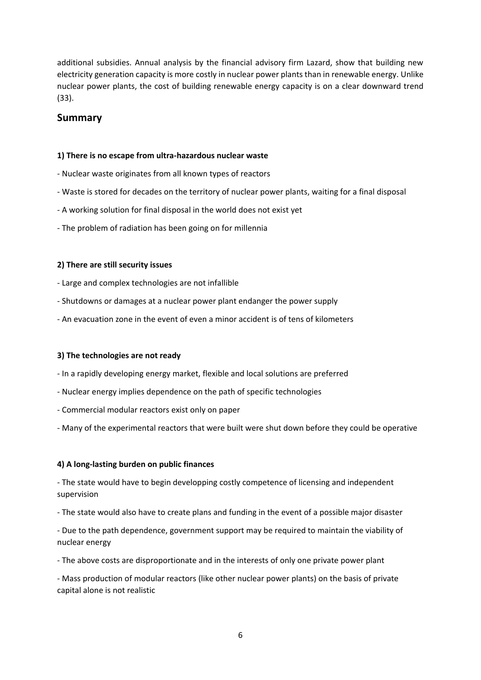additional subsidies. Annual analysis by the financial advisory firm Lazard, show that building new electricity generation capacity is more costly in nuclear power plants than in renewable energy. Unlike nuclear power plants, the cost of building renewable energy capacity is on a clear downward trend (33).

# **Summary**

## **1) There is no escape from ultra-hazardous nuclear waste**

- Nuclear waste originates from all known types of reactors
- Waste is stored for decades on the territory of nuclear power plants, waiting for a final disposal
- A working solution for final disposal in the world does not exist yet
- The problem of radiation has been going on for millennia

## **2) There are still security issues**

- Large and complex technologies are not infallible
- Shutdowns or damages at a nuclear power plant endanger the power supply
- An evacuation zone in the event of even a minor accident is of tens of kilometers

#### **3) The technologies are not ready**

- In a rapidly developing energy market, flexible and local solutions are preferred
- Nuclear energy implies dependence on the path of specific technologies
- Commercial modular reactors exist only on paper
- Many of the experimental reactors that were built were shut down before they could be operative

## **4) A long-lasting burden on public finances**

- The state would have to begin developping costly competence of licensing and independent supervision

- The state would also have to create plans and funding in the event of a possible major disaster

- Due to the path dependence, government support may be required to maintain the viability of nuclear energy

- The above costs are disproportionate and in the interests of only one private power plant

- Mass production of modular reactors (like other nuclear power plants) on the basis of private capital alone is not realistic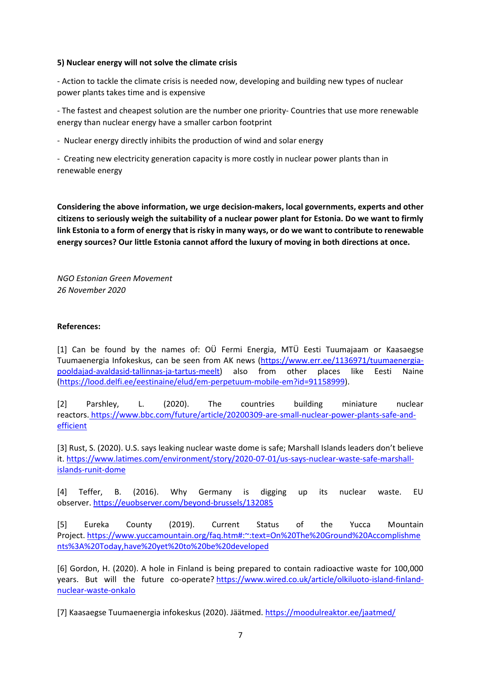#### **5) Nuclear energy will not solve the climate crisis**

- Action to tackle the climate crisis is needed now, developing and building new types of nuclear power plants takes time and is expensive

- The fastest and cheapest solution are the number one priority- Countries that use more renewable energy than nuclear energy have a smaller carbon footprint

- Nuclear energy directly inhibits the production of wind and solar energy

- Creating new electricity generation capacity is more costly in nuclear power plants than in renewable energy

**Considering the above information, we urge decision-makers, local governments, experts and other citizens to seriously weigh the suitability of a nuclear power plant for Estonia. Do we want to firmly link Estonia to a form of energy that is risky in many ways, or do we want to contribute to renewable energy sources? Our little Estonia cannot afford the luxury of moving in both directions at once.**

*NGO Estonian Green Movement 26 November 2020*

#### **References:**

[1] Can be found by the names of: OÜ Fermi Energia, MTÜ Eesti Tuumajaam or Kaasaegse Tuumaenergia Infokeskus, can be seen from AK news [\(https://www.err.ee/1136971/tuumaenergia](https://www.err.ee/1136971/tuumaenergia-pooldajad-avaldasid-tallinnas-ja-tartus-meelt)[pooldajad-avaldasid-tallinnas-ja-tartus-meelt\)](https://www.err.ee/1136971/tuumaenergia-pooldajad-avaldasid-tallinnas-ja-tartus-meelt) also from other places like Eesti Naine [\(https://lood.delfi.ee/eestinaine/elud/em-perpetuum-mobile-em?id=91158999\)](https://lood.delfi.ee/eestinaine/elud/em-perpetuum-mobile-em?id=91158999).

[2] Parshley, L. (2020). The countries building miniature nuclear reactors. [https://www.bbc.com/future/article/20200309-are-small-nuclear-power-plants-safe-and](http://https/www.bbc.com/future/article/20200309-are-small-nuclear-power-plants-safe-and-efficient)[efficient](http://https/www.bbc.com/future/article/20200309-are-small-nuclear-power-plants-safe-and-efficient)

[3] Rust, S. (2020). U.S. says leaking nuclear waste dome is safe; Marshall Islands leaders don't believe it. [https://www.latimes.com/environment/story/2020-07-01/us-says-nuclear-waste-safe-marshall](https://www.latimes.com/environment/story/2020-07-01/us-says-nuclear-waste-safe-marshall-islands-runit-dome)[islands-runit-dome](https://www.latimes.com/environment/story/2020-07-01/us-says-nuclear-waste-safe-marshall-islands-runit-dome)

[4] Teffer, B. (2016). Why Germany is digging up its nuclear waste. EU observer. <https://euobserver.com/beyond-brussels/132085>

[5] Eureka County (2019). Current Status of the Yucca Mountain Project. [https://www.yuccamountain.org/faq.htm#:~:text=On%20The%20Ground%20Accomplishme](https://www.yuccamountain.org/faq.htm#:~:text=On%20The%20Ground%20Accomplishments%3A%20Today,have%20yet%20to%20be%20developed) [nts%3A%20Today,have%20yet%20to%20be%20developed](https://www.yuccamountain.org/faq.htm#:~:text=On%20The%20Ground%20Accomplishments%3A%20Today,have%20yet%20to%20be%20developed)

[6] Gordon, H. (2020). A hole in Finland is being prepared to contain radioactive waste for 100,000 years. But will the future co-operate? [https://www.wired.co.uk/article/olkiluoto-island-finland](https://www.wired.co.uk/article/olkiluoto-island-finland-nuclear-waste-onkalo)[nuclear-waste-onkalo](https://www.wired.co.uk/article/olkiluoto-island-finland-nuclear-waste-onkalo)

[7] Kaasaegse Tuumaenergia infokeskus (2020). Jäätmed. <https://moodulreaktor.ee/jaatmed/>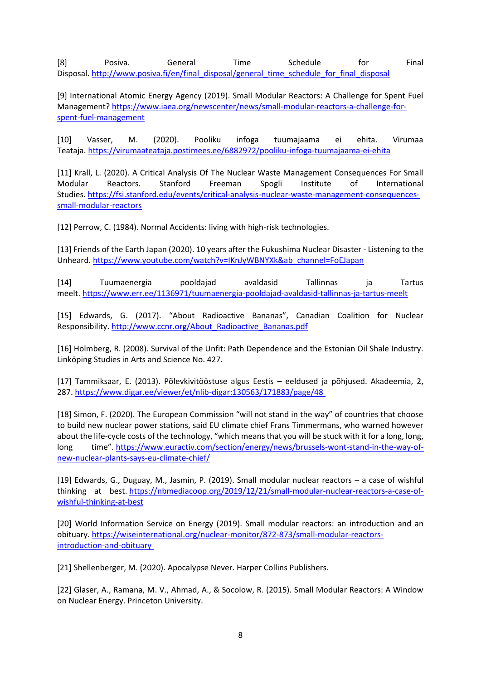[8] Posiva. General Time Schedule for Final Disposal. [http://www.posiva.fi/en/final\\_disposal/general\\_time\\_schedule\\_for\\_final\\_disposal](http://www.posiva.fi/en/final_disposal/general_time_schedule_for_final_disposal)

[9] International Atomic Energy Agency (2019). Small Modular Reactors: A Challenge for Spent Fuel Management? [https://www.iaea.org/newscenter/news/small-modular-reactors-a-challenge-for](https://www.iaea.org/newscenter/news/small-modular-reactors-a-challenge-for-spent-fuel-management)[spent-fuel-management](https://www.iaea.org/newscenter/news/small-modular-reactors-a-challenge-for-spent-fuel-management)

[10] Vasser, M. (2020). Pooliku infoga tuumajaama ei ehita. Virumaa Teataja. <https://virumaateataja.postimees.ee/6882972/pooliku-infoga-tuumajaama-ei-ehita>

[11] Krall, L. (2020). A Critical Analysis Of The Nuclear Waste Management Consequences For Small Modular Reactors. Stanford Freeman Spogli Institute of International Studies. [https://fsi.stanford.edu/events/critical-analysis-nuclear-waste-management-consequences](https://fsi.stanford.edu/events/critical-analysis-nuclear-waste-management-consequences-small-modular-reactors)[small-modular-reactors](https://fsi.stanford.edu/events/critical-analysis-nuclear-waste-management-consequences-small-modular-reactors)

[12] Perrow, C. (1984). Normal Accidents: living with high-risk technologies.

[13] Friends of the Earth Japan (2020). 10 years after the Fukushima Nuclear Disaster - Listening to the Unheard. [https://www.youtube.com/watch?v=IKnJyWBNYXk&ab\\_channel=FoEJapan](https://www.youtube.com/watch?v=IKnJyWBNYXk&ab_channel=FoEJapan)

[14] Tuumaenergia pooldajad avaldasid Tallinnas ja Tartus meelt. <https://www.err.ee/1136971/tuumaenergia-pooldajad-avaldasid-tallinnas-ja-tartus-meelt>

[15] Edwards, G. (2017). "About Radioactive Bananas", Canadian Coalition for Nuclear Responsibility. [http://www.ccnr.org/About\\_Radioactive\\_Bananas.pdf](http://www.ccnr.org/About_Radioactive_Bananas.pdf)

[16] Holmberg, R. (2008). Survival of the Unfit: Path Dependence and the Estonian Oil Shale Industry. Linköping Studies in Arts and Science No. 427.

[17] Tammiksaar, E. (2013). Põlevkivitööstuse algus Eestis – eeldused ja põhjused. Akadeemia, 2, 287. <https://www.digar.ee/viewer/et/nlib-digar:130563/171883/page/48>

[18] Simon, F. (2020). The European Commission "will not stand in the way" of countries that choose to build new nuclear power stations, said EU climate chief Frans Timmermans, who warned however about the life-cycle costs of the technology, "which means that you will be stuck with it for a long, long, long time". [https://www.euractiv.com/section/energy/news/brussels-wont-stand-in-the-way-of](https://www.euractiv.com/section/energy/news/brussels-wont-stand-in-the-way-of-new-nuclear-plants-says-eu-climate-chief/)[new-nuclear-plants-says-eu-climate-chief/](https://www.euractiv.com/section/energy/news/brussels-wont-stand-in-the-way-of-new-nuclear-plants-says-eu-climate-chief/)

[19] Edwards, G., Duguay, M., Jasmin, P. (2019). Small modular nuclear reactors – a case of wishful thinking at best. [https://nbmediacoop.org/2019/12/21/small-modular-nuclear-reactors-a-case-of](https://nbmediacoop.org/2019/12/21/small-modular-nuclear-reactors-a-case-of-wishful-thinking-at-best)[wishful-thinking-at-best](https://nbmediacoop.org/2019/12/21/small-modular-nuclear-reactors-a-case-of-wishful-thinking-at-best)

[20] World Information Service on Energy (2019). Small modular reactors: an introduction and an obituary. [https://wiseinternational.org/nuclear-monitor/872-873/small-modular-reactors](https://wiseinternational.org/nuclear-monitor/872-873/small-modular-reactors-introduction-and-obituary)[introduction-and-obituary](https://wiseinternational.org/nuclear-monitor/872-873/small-modular-reactors-introduction-and-obituary)

[21] Shellenberger, M. (2020). Apocalypse Never. Harper Collins Publishers.

[22] Glaser, A., Ramana, M. V., Ahmad, A., & Socolow, R. (2015). Small Modular Reactors: A Window on Nuclear Energy. Princeton University.